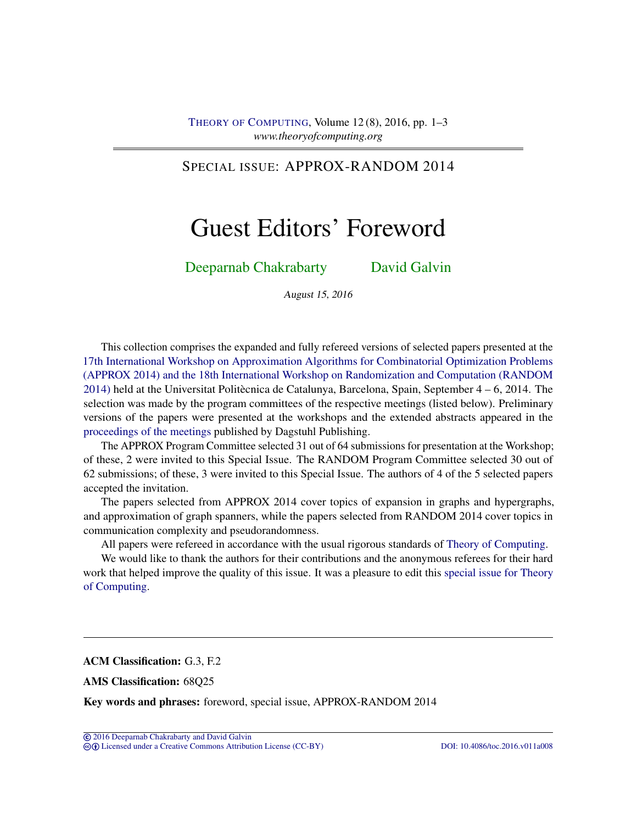## SPECIAL ISSUE: APPROX-RANDOM 2014

# Guest Editors' Foreword

## [Deeparnab Chakrabarty](#page-2-0) [David Galvin](#page-2-1)

August 15, 2016

This collection comprises the expanded and fully refereed versions of selected papers presented at the [17th International Workshop on Approximation Algorithms for Combinatorial Optimization Problems](http://cui.unige.ch/tcs/random-approx/2014/index.php?id=1) [\(APPROX 2014\) and the 18th International Workshop on Randomization and Computation \(RANDOM](http://cui.unige.ch/tcs/random-approx/2014/index.php?id=1) [2014\)](http://cui.unige.ch/tcs/random-approx/2014/index.php?id=1) held at the Universitat Politècnica de Catalunya, Barcelona, Spain, September 4 – 6, 2014. The selection was made by the program committees of the respective meetings (listed below). Preliminary versions of the papers were presented at the workshops and the extended abstracts appeared in the [proceedings of the meetings](http://drops.dagstuhl.de/portals/extern/index.php?semnr=14009) published by Dagstuhl Publishing.

The APPROX Program Committee selected 31 out of 64 submissions for presentation at the Workshop; of these, 2 were invited to this Special Issue. The RANDOM Program Committee selected 30 out of 62 submissions; of these, 3 were invited to this Special Issue. The authors of 4 of the 5 selected papers accepted the invitation.

The papers selected from APPROX 2014 cover topics of expansion in graphs and hypergraphs, and approximation of graph spanners, while the papers selected from RANDOM 2014 cover topics in communication complexity and pseudorandomness.

All papers were refereed in accordance with the usual rigorous standards of [Theory of Computing.](http://dx.doi.org/10.4086/toc)

We would like to thank the authors for their contributions and the anonymous referees for their hard work that helped improve the quality of this issue. It was a pleasure to edit this [special issue for Theory](http://theoryofcomputing.org/categories/APPROX-RANDOM_2014_special_issue.html) [of Computing.](http://theoryofcomputing.org/categories/APPROX-RANDOM_2014_special_issue.html)

ACM Classification: G.3, F.2

AMS Classification: 68Q25

Key words and phrases: foreword, special issue, APPROX-RANDOM 2014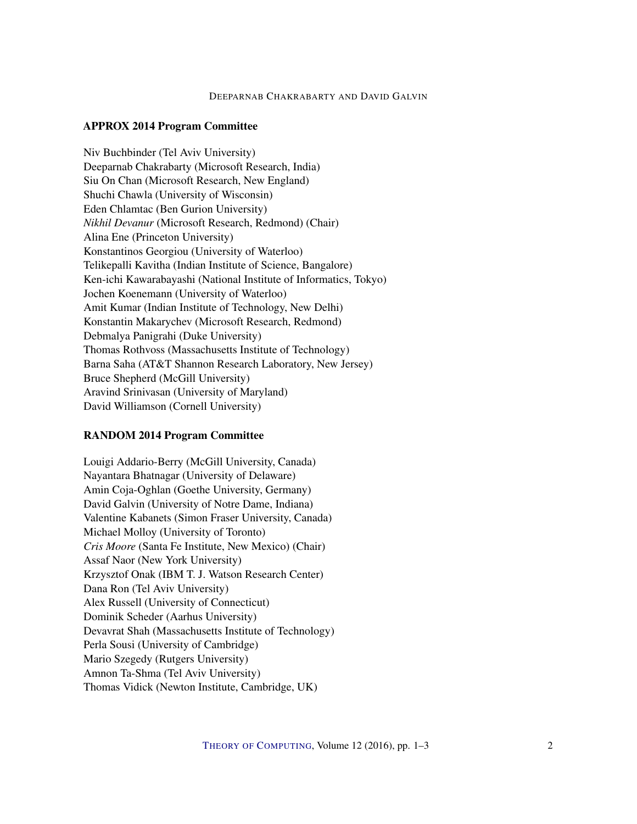#### DEEPARNAB CHAKRABARTY AND DAVID GALVIN

#### APPROX 2014 Program Committee

Niv Buchbinder (Tel Aviv University) Deeparnab Chakrabarty (Microsoft Research, India) Siu On Chan (Microsoft Research, New England) Shuchi Chawla (University of Wisconsin) Eden Chlamtac (Ben Gurion University) *Nikhil Devanur* (Microsoft Research, Redmond) (Chair) Alina Ene (Princeton University) Konstantinos Georgiou (University of Waterloo) Telikepalli Kavitha (Indian Institute of Science, Bangalore) Ken-ichi Kawarabayashi (National Institute of Informatics, Tokyo) Jochen Koenemann (University of Waterloo) Amit Kumar (Indian Institute of Technology, New Delhi) Konstantin Makarychev (Microsoft Research, Redmond) Debmalya Panigrahi (Duke University) Thomas Rothvoss (Massachusetts Institute of Technology) Barna Saha (AT&T Shannon Research Laboratory, New Jersey) Bruce Shepherd (McGill University) Aravind Srinivasan (University of Maryland) David Williamson (Cornell University)

#### RANDOM 2014 Program Committee

Louigi Addario-Berry (McGill University, Canada) Nayantara Bhatnagar (University of Delaware) Amin Coja-Oghlan (Goethe University, Germany) David Galvin (University of Notre Dame, Indiana) Valentine Kabanets (Simon Fraser University, Canada) Michael Molloy (University of Toronto) *Cris Moore* (Santa Fe Institute, New Mexico) (Chair) Assaf Naor (New York University) Krzysztof Onak (IBM T. J. Watson Research Center) Dana Ron (Tel Aviv University) Alex Russell (University of Connecticut) Dominik Scheder (Aarhus University) Devavrat Shah (Massachusetts Institute of Technology) Perla Sousi (University of Cambridge) Mario Szegedy (Rutgers University) Amnon Ta-Shma (Tel Aviv University) Thomas Vidick (Newton Institute, Cambridge, UK)